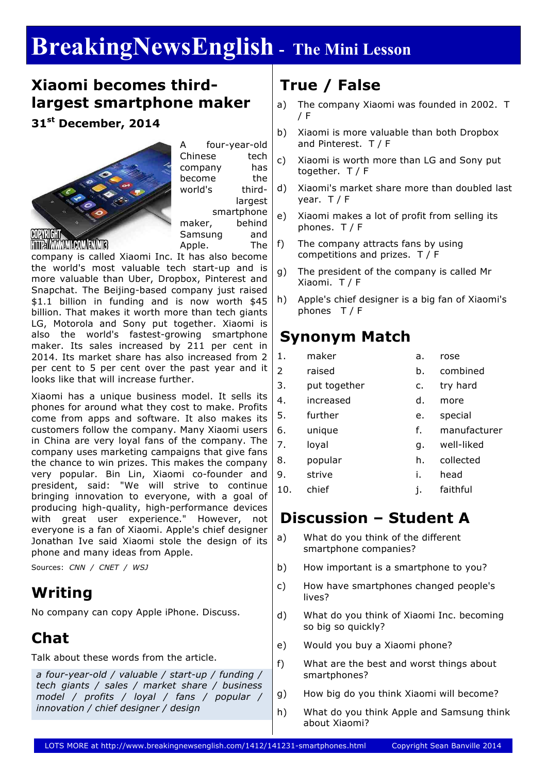# **BreakingNewsEnglish - The Mini Lesson**

#### **Xiaomi becomes thirdlargest smartphone maker**

**31st December, 2014**



A four-year-old Chinese tech company has become the world's thirdlargest smartphone maker, behind Samsung and Apple. The

company is called Xiaomi Inc. It has also become the world's most valuable tech start-up and is more valuable than Uber, Dropbox, Pinterest and Snapchat. The Beijing-based company just raised \$1.1 billion in funding and is now worth \$45 billion. That makes it worth more than tech giants LG, Motorola and Sony put together. Xiaomi is also the world's fastest-growing smartphone maker. Its sales increased by 211 per cent in 2014. Its market share has also increased from 2 per cent to 5 per cent over the past year and it looks like that will increase further.

Xiaomi has a unique business model. It sells its phones for around what they cost to make. Profits come from apps and software. It also makes its customers follow the company. Many Xiaomi users in China are very loyal fans of the company. The company uses marketing campaigns that give fans the chance to win prizes. This makes the company very popular. Bin Lin, Xiaomi co-founder and president, said: "We will strive to continue bringing innovation to everyone, with a goal of producing high-quality, high-performance devices with great user experience." However, not everyone is a fan of Xiaomi. Apple's chief designer Jonathan Ive said Xiaomi stole the design of its phone and many ideas from Apple.

Sources: *CNN / CNET / WSJ*

### **Writing**

No company can copy Apple iPhone. Discuss.

### **Chat**

Talk about these words from the article.

*a four-year-old / valuable / start-up / funding / tech giants / sales / market share / business model / profits / loyal / fans / popular / innovation / chief designer / design*

## **True / False**

- a) The company Xiaomi was founded in 2002. T / F
- b) Xiaomi is more valuable than both Dropbox and Pinterest. T / F
- c) Xiaomi is worth more than LG and Sony put together. T / F
- d) Xiaomi's market share more than doubled last year. T / F
- e) Xiaomi makes a lot of profit from selling its phones. T / F
- f) The company attracts fans by using competitions and prizes. T / F
- g) The president of the company is called Mr Xiaomi. T / F
- h) Apple's chief designer is a big fan of Xiaomi's phones T / F

#### **Synonym Match**

- 1. maker a. rose 2 raised b. combined
	-
- 3. put together c. try hard
- 4. increased d. more
- 5. further e. special
- 6. unique f. manufacturer
- 7. loyal g. well-liked
- 8. popular h. collected
- 9. strive i. head
- 10. chief i. faithful

### **Discussion – Student A**

- a) What do you think of the different smartphone companies?
- b) How important is a smartphone to you?
- c) How have smartphones changed people's lives?
- d) What do you think of Xiaomi Inc. becoming so big so quickly?
- e) Would you buy a Xiaomi phone?
- f) What are the best and worst things about smartphones?
- g) How big do you think Xiaomi will become?
- h) What do you think Apple and Samsung think about Xiaomi?